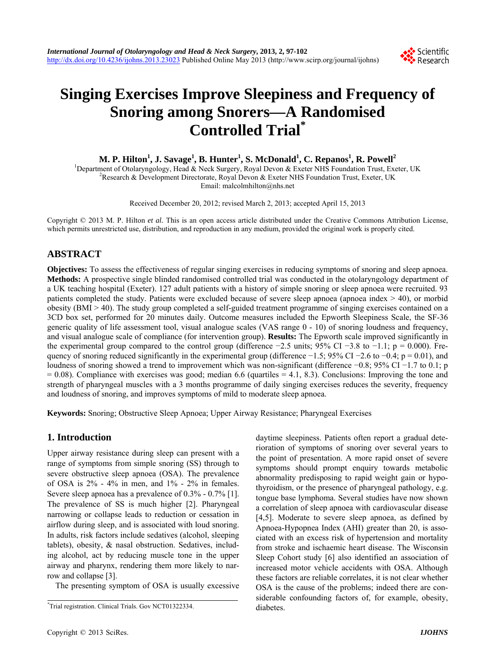

# **Singing Exercises Improve Sleepiness and Frequency of Snoring among Snorers—A Randomised Controlled Trial\***

 $\mathbf{M.}$   $\mathbf{P.}$  **Hilton** $^{1}$ **,**  $\mathbf{J.}$  **Savage** $^{1}$ **,**  $\mathbf{B.}$  **Hunter** $^{1}$ **,**  $\mathbf{S.}$  **McDonald** $^{1}$ **,**  $\mathbf{C.}$  **Repanos** $^{1}$ **,**  $\mathbf{R.}$  **Powell** $^{2}$ 

<sup>1</sup>Department of Otolaryngology, Head & Neck Surgery, Royal Devon & Exeter NHS Foundation Trust, Exeter, UK <sup>2</sup>P assessed & Davelopment Directorate, Boyal Devon & Exeter NHS Foundation Trust, Exeter, UK <sup>2</sup>Research & Development Directorate, Royal Devon & Exeter NHS Foundation Trust, Exeter, UK Email: malcolmhilton@nhs.net

Received December 20, 2012; revised March 2, 2013; accepted April 15, 2013

Copyright © 2013 M. P. Hilton *et al.* This is an open access article distributed under the Creative Commons Attribution License, which permits unrestricted use, distribution, and reproduction in any medium, provided the original work is properly cited.

# **ABSTRACT**

**Objectives:** To assess the effectiveness of regular singing exercises in reducing symptoms of snoring and sleep apnoea. **Methods:** A prospective single blinded randomised controlled trial was conducted in the otolaryngology department of a UK teaching hospital (Exeter). 127 adult patients with a history of simple snoring or sleep apnoea were recruited. 93 patients completed the study. Patients were excluded because of severe sleep apnoea (apnoea index > 40), or morbid obesity (BMI > 40). The study group completed a self-guided treatment programme of singing exercises contained on a 3CD box set, performed for 20 minutes daily. Outcome measures included the Epworth Sleepiness Scale, the SF-36 generic quality of life assessment tool, visual analogue scales (VAS range 0 - 10) of snoring loudness and frequency, and visual analogue scale of compliance (for intervention group). **Results:** The Epworth scale improved significantly in the experimental group compared to the control group (difference  $-2.5$  units; 95% CI  $-3.8$  to  $-1.1$ ; p = 0.000). Frequency of snoring reduced significantly in the experimental group (difference  $-1.5$ ; 95% CI  $-2.6$  to  $-0.4$ ; p = 0.01), and loudness of snoring showed a trend to improvement which was non-significant (difference −0.8; 95% CI −1.7 to 0.1; p  $= 0.08$ ). Compliance with exercises was good; median 6.6 (quartiles  $= 4.1, 8.3$ ). Conclusions: Improving the tone and strength of pharyngeal muscles with a 3 months programme of daily singing exercises reduces the severity, frequency and loudness of snoring, and improves symptoms of mild to moderate sleep apnoea.

**Keywords:** Snoring; Obstructive Sleep Apnoea; Upper Airway Resistance; Pharyngeal Exercises

# **1. Introduction**

Upper airway resistance during sleep can present with a range of symptoms from simple snoring (SS) through to severe obstructive sleep apnoea (OSA). The prevalence of OSA is  $2\%$  -  $4\%$  in men, and  $1\%$  -  $2\%$  in females. Severe sleep apnoea has a prevalence of 0.3% - 0.7% [1]. The prevalence of SS is much higher [2]. Pharyngeal narrowing or collapse leads to reduction or cessation in airflow during sleep, and is associated with loud snoring. In adults, risk factors include sedatives (alcohol, sleeping tablets), obesity, & nasal obstruction. Sedatives, including alcohol, act by reducing muscle tone in the upper airway and pharynx, rendering them more likely to narrow and collapse [3].

The presenting symptom of OSA is usually excessive

daytime sleepiness. Patients often report a gradual deterioration of symptoms of snoring over several years to the point of presentation. A more rapid onset of severe symptoms should prompt enquiry towards metabolic abnormality predisposing to rapid weight gain or hypothyroidism, or the presence of pharyngeal pathology, e.g. tongue base lymphoma. Several studies have now shown a correlation of sleep apnoea with cardiovascular disease [4,5]. Moderate to severe sleep apnoea, as defined by Apnoea-Hypopnea Index (AHI) greater than 20, is associated with an excess risk of hypertension and mortality from stroke and ischaemic heart disease. The Wisconsin Sleep Cohort study [6] also identified an association of increased motor vehicle accidents with OSA. Although these factors are reliable correlates, it is not clear whether OSA is the cause of the problems; indeed there are considerable confounding factors of, for example, obesity,

diabetes. \* Trial registration. Clinical Trials. Gov NCT01322334.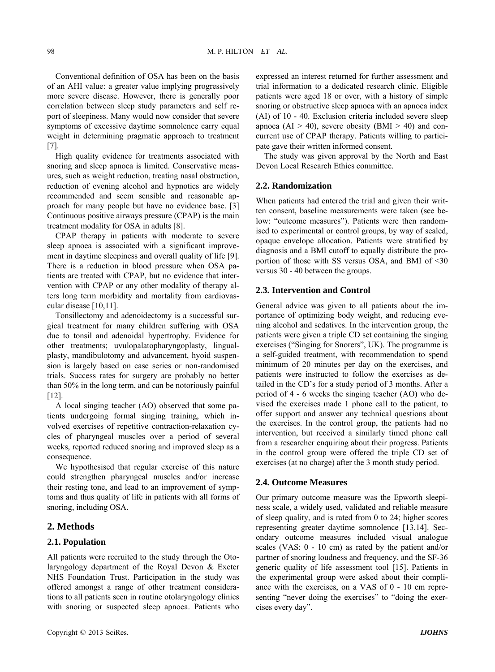Conventional definition of OSA has been on the basis of an AHI value: a greater value implying progressively more severe disease. However, there is generally poor correlation between sleep study parameters and self report of sleepiness. Many would now consider that severe symptoms of excessive daytime somnolence carry equal weight in determining pragmatic approach to treatment [7].

High quality evidence for treatments associated with snoring and sleep apnoea is limited. Conservative measures, such as weight reduction, treating nasal obstruction, reduction of evening alcohol and hypnotics are widely recommended and seem sensible and reasonable approach for many people but have no evidence base. [3] Continuous positive airways pressure (CPAP) is the main treatment modality for OSA in adults [8].

CPAP therapy in patients with moderate to severe sleep apnoea is associated with a significant improvement in daytime sleepiness and overall quality of life [9]. There is a reduction in blood pressure when OSA patients are treated with CPAP, but no evidence that intervention with CPAP or any other modality of therapy alters long term morbidity and mortality from cardiovascular disease [10,11].

Tonsillectomy and adenoidectomy is a successful surgical treatment for many children suffering with OSA due to tonsil and adenoidal hypertrophy. Evidence for other treatments; uvulopalatopharyngoplasty, lingualplasty, mandibulotomy and advancement, hyoid suspension is largely based on case series or non-randomised trials. Success rates for surgery are probably no better than 50% in the long term, and can be notoriously painful  $[12]$ .

A local singing teacher (AO) observed that some patients undergoing formal singing training, which involved exercises of repetitive contraction-relaxation cycles of pharyngeal muscles over a period of several weeks, reported reduced snoring and improved sleep as a consequence.

We hypothesised that regular exercise of this nature could strengthen pharyngeal muscles and/or increase their resting tone, and lead to an improvement of symptoms and thus quality of life in patients with all forms of snoring, including OSA.

## **2. Methods**

## **2.1. Population**

All patients were recruited to the study through the Otolaryngology department of the Royal Devon & Exeter NHS Foundation Trust. Participation in the study was offered amongst a range of other treatment considerations to all patients seen in routine otolaryngology clinics with snoring or suspected sleep apnoea. Patients who

expressed an interest returned for further assessment and trial information to a dedicated research clinic. Eligible patients were aged 18 or over, with a history of simple snoring or obstructive sleep apnoea with an apnoea index (AI) of 10 - 40. Exclusion criteria included severe sleep apnoea ( $AI > 40$ ), severe obesity ( $BMI > 40$ ) and concurrent use of CPAP therapy. Patients willing to participate gave their written informed consent.

The study was given approval by the North and East Devon Local Research Ethics committee.

## **2.2. Randomization**

When patients had entered the trial and given their written consent, baseline measurements were taken (see below: "outcome measures"). Patients were then randomised to experimental or control groups, by way of sealed, opaque envelope allocation. Patients were stratified by diagnosis and a BMI cutoff to equally distribute the proportion of those with SS versus OSA, and BMI of <30 versus 30 - 40 between the groups.

## **2.3. Intervention and Control**

General advice was given to all patients about the importance of optimizing body weight, and reducing evening alcohol and sedatives. In the intervention group, the patients were given a triple CD set containing the singing exercises ("Singing for Snorers", UK). The programme is a self-guided treatment, with recommendation to spend minimum of 20 minutes per day on the exercises, and patients were instructed to follow the exercises as detailed in the CD's for a study period of 3 months. After a period of 4 - 6 weeks the singing teacher (AO) who devised the exercises made 1 phone call to the patient, to offer support and answer any technical questions about the exercises. In the control group, the patients had no intervention, but received a similarly timed phone call from a researcher enquiring about their progress. Patients in the control group were offered the triple CD set of exercises (at no charge) after the 3 month study period.

#### **2.4. Outcome Measures**

Our primary outcome measure was the Epworth sleepiness scale, a widely used, validated and reliable measure of sleep quality, and is rated from 0 to 24; higher scores representing greater daytime somnolence [13,14]. Secondary outcome measures included visual analogue scales (VAS: 0 - 10 cm) as rated by the patient and/or partner of snoring loudness and frequency, and the SF-36 generic quality of life assessment tool [15]. Patients in the experimental group were asked about their compliance with the exercises, on a VAS of 0 - 10 cm representing "never doing the exercises" to "doing the exercises every day".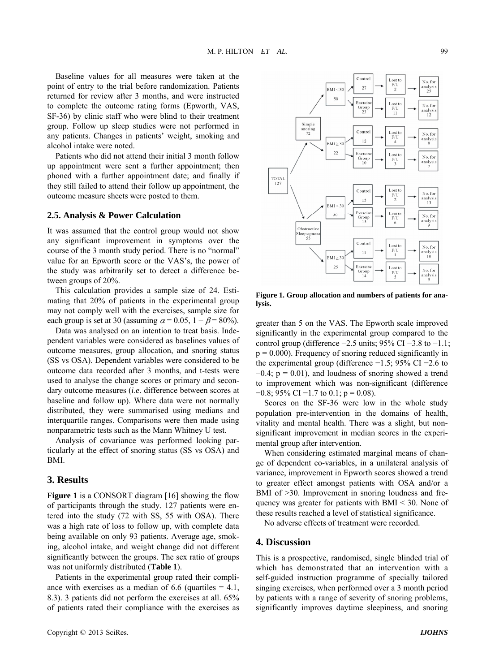Baseline values for all measures were taken at the point of entry to the trial before randomization. Patients returned for review after 3 months, and were instructed to complete the outcome rating forms (Epworth, VAS, SF-36) by clinic staff who were blind to their treatment group. Follow up sleep studies were not performed in any patients. Changes in patients' weight, smoking and alcohol intake were noted.

Patients who did not attend their initial 3 month follow up appointment were sent a further appointment; then phoned with a further appointment date; and finally if they still failed to attend their follow up appointment, the outcome measure sheets were posted to them.

#### **2.5. Analysis & Power Calculation**

It was assumed that the control group would not show any significant improvement in symptoms over the course of the 3 month study period. There is no "normal" value for an Epworth score or the VAS's, the power of the study was arbitrarily set to detect a difference between groups of 20%.

This calculation provides a sample size of 24. Estimating that 20% of patients in the experimental group may not comply well with the exercises, sample size for each group is set at 30 (assuming  $\alpha$  = 0.05, 1 –  $\beta$  = 80%).

Data was analysed on an intention to treat basis. Independent variables were considered as baselines values of outcome measures, group allocation, and snoring status (SS vs OSA). Dependent variables were considered to be outcome data recorded after 3 months, and t-tests were used to analyse the change scores or primary and secondary outcome measures (*i*.*e.* difference between scores at baseline and follow up). Where data were not normally distributed, they were summarised using medians and interquartile ranges. Comparisons were then made using nonparametric tests such as the Mann Whitney U test.

Analysis of covariance was performed looking particularly at the effect of snoring status (SS vs OSA) and BMI.

# **3. Results**

**Figure 1** is a CONSORT diagram [16] showing the flow of participants through the study. 127 patients were entered into the study (72 with SS, 55 with OSA). There was a high rate of loss to follow up, with complete data being available on only 93 patients. Average age, smoking, alcohol intake, and weight change did not different significantly between the groups. The sex ratio of groups was not uniformly distributed (**Table 1**).

Patients in the experimental group rated their compliance with exercises as a median of 6.6 (quartiles  $= 4.1$ , 8.3). 3 patients did not perform the exercises at all. 65% of patients rated their compliance with the exercises as



**Figure 1. Group allocation and numbers of patients for analysis.** 

greater than 5 on the VAS. The Epworth scale improved significantly in the experimental group compared to the control group (difference −2.5 units; 95% CI −3.8 to −1.1;  $p = 0.000$ . Frequency of snoring reduced significantly in the experimental group (difference −1.5; 95% CI −2.6 to  $-0.4$ ; p = 0.01), and loudness of snoring showed a trend to improvement which was non-significant (difference  $-0.8$ ; 95% CI  $-1.7$  to 0.1; p = 0.08).

Scores on the SF-36 were low in the whole study population pre-intervention in the domains of health, vitality and mental health. There was a slight, but nonsignificant improvement in median scores in the experimental group after intervention.

When considering estimated marginal means of change of dependent co-variables, in a unilateral analysis of variance, improvement in Epworth scores showed a trend to greater effect amongst patients with OSA and/or a BMI of  $>30$ . Improvement in snoring loudness and frequency was greater for patients with  $BMI < 30$ . None of these results reached a level of statistical significance.

No adverse effects of treatment were recorded.

## **4. Discussion**

This is a prospective, randomised, single blinded trial of which has demonstrated that an intervention with a self-guided instruction programme of specially tailored singing exercises, when performed over a 3 month period by patients with a range of severity of snoring problems, significantly improves daytime sleepiness, and snoring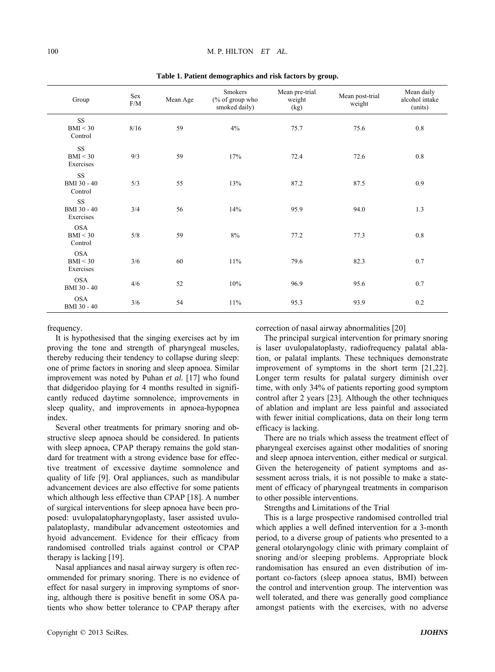| Group                                 | Sex<br>F/M | Mean Age | Smokers<br>(% of group who<br>smoked daily) | Mean pre-trial<br>weight<br>(kg) | Mean post-trial<br>weight | Mean daily<br>alcohol intake<br>(units) |
|---------------------------------------|------------|----------|---------------------------------------------|----------------------------------|---------------------------|-----------------------------------------|
| $\rm SS$<br>BMI < 30<br>Control       | 8/16       | 59       | 4%                                          | 75.7                             | 75.6                      | 0.8                                     |
| SS<br>BMI < 30<br>Exercises           | 9/3        | 59       | 17%                                         | 72.4                             | 72.6                      | $0.8\,$                                 |
| SS<br>BMI 30 - 40<br>Control          | 5/3        | 55       | 13%                                         | 87.2                             | 87.5                      | 0.9                                     |
| <b>SS</b><br>BMI 30 - 40<br>Exercises | 3/4        | 56       | 14%                                         | 95.9                             | 94.0                      | 1.3                                     |
| <b>OSA</b><br>BMI < 30<br>Control     | 5/8        | 59       | 8%                                          | 77.2                             | 77.3                      | 0.8                                     |
| <b>OSA</b><br>BMI < 30<br>Exercises   | 3/6        | 60       | 11%                                         | 79.6                             | 82.3                      | $0.7\,$                                 |
| <b>OSA</b><br>BMI 30 - 40             | 4/6        | 52       | 10%                                         | 96.9                             | 95.6                      | $0.7\,$                                 |
| <b>OSA</b><br>BMI 30 - 40             | 3/6        | 54       | 11%                                         | 95.3                             | 93.9                      | $0.2\,$                                 |

**Table 1. Patient demographics and risk factors by group.**

#### frequency.

It is hypothesised that the singing exercises act by im proving the tone and strength of pharyngeal muscles, thereby reducing their tendency to collapse during sleep: one of prime factors in snoring and sleep apnoea. Similar improvement was noted by Puhan *et al.* [17] who found that didgeridoo playing for 4 months resulted in significantly reduced daytime somnolence, improvements in sleep quality, and improvements in apnoea-hypopnea index.

Several other treatments for primary snoring and obstructive sleep apnoea should be considered. In patients with sleep apnoea, CPAP therapy remains the gold standard for treatment with a strong evidence base for effective treatment of excessive daytime somnolence and quality of life [9]. Oral appliances, such as mandibular advancement devices are also effective for some patients which although less effective than CPAP [18]. A number of surgical interventions for sleep apnoea have been proposed: uvulopalatopharyngoplasty, laser assisted uvulopalatoplasty, mandibular advancement osteotomies and hyoid advancement. Evidence for their efficacy from randomised controlled trials against control or CPAP therapy is lacking [19].

Nasal appliances and nasal airway surgery is often recommended for primary snoring. There is no evidence of effect for nasal surgery in improving symptoms of snoring, although there is positive benefit in some OSA patients who show better tolerance to CPAP therapy after

correction of nasal airway abnormalities [20]

The principal surgical intervention for primary snoring is laser uvulopalatoplasty, radiofrequency palatal ablation, or palatal implants. These techniques demonstrate improvement of symptoms in the short term [21,22]. Longer term results for palatal surgery diminish over time, with only 34% of patients reporting good symptom control after 2 years [23]. Although the other techniques of ablation and implant are less painful and associated with fewer initial complications, data on their long term efficacy is lacking.

There are no trials which assess the treatment effect of pharyngeal exercises against other modalities of snoring and sleep apnoea intervention, either medical or surgical. Given the heterogeneity of patient symptoms and assessment across trials, it is not possible to make a statement of efficacy of pharyngeal treatments in comparison to other possible interventions.

Strengths and Limitations of the Trial

period, to a diverse group of patients who presented to a ge neral otolaryngology clinic with primary complaint of amongst patients with the exercises, with no adverse This is a large prospective randomised controlled trial which applies a well defined intervention for a 3-month snoring and/or sleeping problems. Appropriate block randomisation has ensured an even distribution of important co-factors (sleep apnoea status, BMI) between the control and intervention group. The intervention was well tolerated, and there was generally good compliance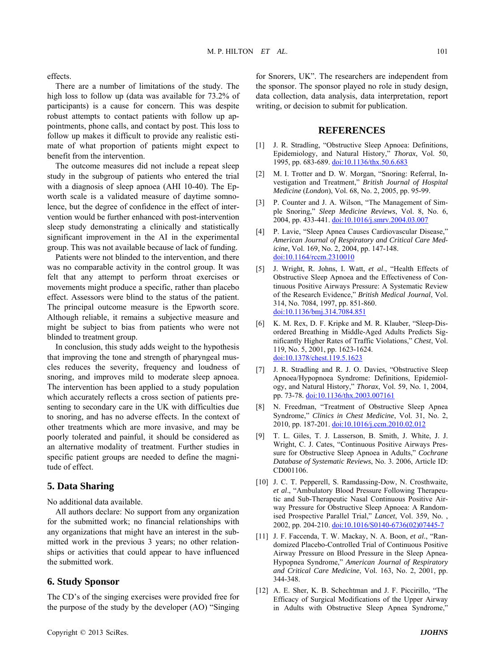effects.

There are a number of limitations of the study. The high loss to follow up (data was available for  $73.2\%$  of participants) is a cause for concern. This was despite robust attempts to contact patients with follow up appo intments, phone calls, and contact by post. This loss to follow up makes it difficult to provide any realistic estimate of what proportion of patients might expect to benefit from the intervention.

worth scale is a validated measure of daytime somnole nce, but the degree of confidence in the effect of inter-The outcome measures did not include a repeat sleep study in the subgroup of patients who entered the trial with a diagnosis of sleep apnoea (AHI 10-40). The Epvention would be further enhanced with post-intervention sleep study demonstrating a clinically and statistically significant improvement in the AI in the experimental group. This was not available because of lack of funding.

ef fect. Assessors were blind to the status of the patient. Patients were not blinded to the intervention, and there was no comparable activity in the control group. It was felt that any attempt to perform throat exercises or movements might produce a specific, rather than placebo The principal outcome measure is the Epworth score. Although reliable, it remains a subjective measure and might be subject to bias from patients who were not blinded to treatment group.

snoring, and improves mild to moderate sleep apnoea. Th e intervention has been applied to a study population In conclusion, this study adds weight to the hypothesis that improving the tone and strength of pharyngeal muscles reduces the severity, frequency and loudness of which accurately reflects a cross section of patients presenting to secondary care in the UK with difficulties due to snoring, and has no adverse effects. In the context of other treatments which are more invasive, and may be poorly tolerated and painful, it should be considered as an alternative modality of treatment. Further studies in specific patient groups are needed to define the magnitude of effect.

## **5. Data Sharing**

No additional data available.

All authors declare: No support from any organization for the submitted work; no financial relationships with any organizations that might have an interest in the submitted work in the previous 3 years; no other relationsh ips or activities that could appear to have influenced the submitted work.

## **6. Study Sponsor**

the purpose of the study by the developer (AO) "Singing The CD's of the singing exercises were provided free for

for Snorers, UK". The researchers are independent from the sponsor. The sponsor played no role in study design, data collection, data analysis, data interpretation, report writing, or decision to submit for publication.

## **REFERENCES**

- [1] J. R. Stradling, "Obstructive Sleep Apnoea: Definitions, Epidemiology, and Natural History," *Thorax*, Vol. 50, 1995, pp. 683-689. doi:10.1136/thx.50.6.683
- [2] M. I. Trotter and D. W. Morgan, "Snoring: Referral, Investigation and Treatment," *British Journal of Hospital Medicine* (*London*), Vol. 68, No. 2, 2005, pp. 95-99.
- [3] P. Counter and J. A. Wilson, "The Management of Simple Snoring," *Sleep Medicine Reviews*, Vol. 8, No. 6, 2004, pp. 433-441. doi:10.1016/j.smrv.2004.03.007
- [4] P. Lavie, "Sleep Apnea Causes Cardiovascular Disease," *American Journal of Respiratory and Critical Care Medicine*, Vol. 169, No. 2, 2004, pp. 147-148. [doi:10.1164/rccm.2310010](http://dx.doi.org/10.1016/j.smrv.2004.03.007)
- [5] J. Wright, R. Johns, I. Watt, *et al*., "Health Effects of Obstructive Sleep Apnoea and the Effectiveness of Continuous Positive Airways Pressure: A Syst ematic Review of the Research Evidence," *British Medical Journal*, Vol. 314, No. 7084, 1997, pp. 851-860. [doi:10.1136/bmj.314.7084.851](http://dx.doi.org/10.1136/bmj.314.7084.851)
- [6] [K. M. Rex, D. F. Kripke and M. R. Klauber, "Sleep-Dis](http://dx.doi.org/10.1136/bmj.314.7084.851)[ordered Breathing in Middle-Aged Adults Predicts Sig](http://dx.doi.org/10.1136/bmj.314.7084.851)[nificantly Higher Rates of Traffic V](http://dx.doi.org/10.1136/bmj.314.7084.851) iolations," *Chest*, Vol. [119, No. 5, 2001, pp. 1623-1624](http://dx.doi.org/10.1136/bmj.314.7084.851) . [doi:10.1378/](http://dx.doi.org/10.1378/chest.119.5.1623)chest.119.5.1623
- [7] J. R. Stradling and R. J. O. Davies, "Obstructive Sleep Apnoea/Hypopnoea Syndrome: Definitions, Epidemiology, and Natural History," *Thorax* , Vol. 59, No. 1, 2004, pp. 73-78. <u>[doi:10.1136/thx.2003](http://dx.doi.org/10.1378/chest.119.5.1623).007161</u>
- [8] N. Freedman, "Treatment of Obstructive Sleep Apnea Syndrome," *Clinics in Chest Medicine*, Vol. 31, No. 2, 2010, pp. 187-201. [doi:10.1016/j.ccm.2010.02.012](http://dx.doi.org/10.1136/thx.2003.007161)
- [9] [T. L. Giles, T. J. Lasserson, B. Smith,](http://dx.doi.org/10.1136/thx.2003.007161) J. White, J. J. Wright, C. J. Cates, "Continuous Positive Airways Pressure for Obstructive Sleep Apnoea in Adults," *Cochrane Database of Systematic Reviews*, No. 3. 2006, Article ID: CD001106.
- way Pressure for Obstructive Sleep Apnoea: A Random-[10] J. C. T. Pepperell, S. Ramdassing-Dow, N. Crosthwaite, *et al*., "Ambulatory Blood Pressure Following Therapeutic and Sub-Therapeutic Nasal Continuous Positive Airised Prospective Parallel Trial," *Lancet*, Vol. 359, No. , 2002, pp. 204-210. [doi:10.1016/S0140-6736\(02\)07445-7](http://dx.doi.org/10.1016/S0140-6736(02)07445-7)
- [11] [J. F. Faccenda, T. W. Mackay, N. A. Boon,](http://dx.doi.org/10.1016/S0140-6736(02)07445-7) *et al*., "Ran[domized Placebo-Controlled Trial of Continuous Positive](http://dx.doi.org/10.1016/S0140-6736(02)07445-7)  [Airway Pressure on Blood Pressure in the Sleep Apnea-](http://dx.doi.org/10.1016/S0140-6736(02)07445-7)Hypopnea Syndrome," *[American Journal of Respiratory](http://dx.doi.org/10.1016/S0140-6736(02)07445-7) and Critical Care Medicine*, Vol. 163, No. 2, 2001, pp. 344-348.
- [12] A. E. Sher, K. B. Schechtman and J. F. Piccirillo, "The Efficacy of Surgical Modifications of the Upper Airway in Adults with Obstructive Sleep Apnea Syndrome,"